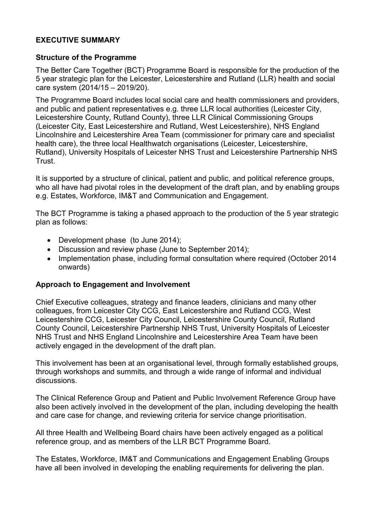## **EXECUTIVE SUMMARY**

## **Structure of the Programme**

The Better Care Together (BCT) Programme Board is responsible for the production of the 5 year strategic plan for the Leicester, Leicestershire and Rutland (LLR) health and social care system (2014/15 – 2019/20).

The Programme Board includes local social care and health commissioners and providers, and public and patient representatives e.g. three LLR local authorities (Leicester City, Leicestershire County, Rutland County), three LLR Clinical Commissioning Groups (Leicester City, East Leicestershire and Rutland, West Leicestershire), NHS England Lincolnshire and Leicestershire Area Team (commissioner for primary care and specialist health care), the three local Healthwatch organisations (Leicester, Leicestershire, Rutland), University Hospitals of Leicester NHS Trust and Leicestershire Partnership NHS Trust.

It is supported by a structure of clinical, patient and public, and political reference groups, who all have had pivotal roles in the development of the draft plan, and by enabling groups e.g. Estates, Workforce, IM&T and Communication and Engagement.

The BCT Programme is taking a phased approach to the production of the 5 year strategic plan as follows:

- Development phase (to June 2014):
- Discussion and review phase (June to September 2014);
- Implementation phase, including formal consultation where required (October 2014) onwards)

## **Approach to Engagement and Involvement**

Chief Executive colleagues, strategy and finance leaders, clinicians and many other colleagues, from Leicester City CCG, East Leicestershire and Rutland CCG, West Leicestershire CCG, Leicester City Council, Leicestershire County Council, Rutland County Council, Leicestershire Partnership NHS Trust, University Hospitals of Leicester NHS Trust and NHS England Lincolnshire and Leicestershire Area Team have been actively engaged in the development of the draft plan.

This involvement has been at an organisational level, through formally established groups, through workshops and summits, and through a wide range of informal and individual discussions.

The Clinical Reference Group and Patient and Public Involvement Reference Group have also been actively involved in the development of the plan, including developing the health and care case for change, and reviewing criteria for service change prioritisation.

All three Health and Wellbeing Board chairs have been actively engaged as a political reference group, and as members of the LLR BCT Programme Board.

The Estates, Workforce, IM&T and Communications and Engagement Enabling Groups have all been involved in developing the enabling requirements for delivering the plan.